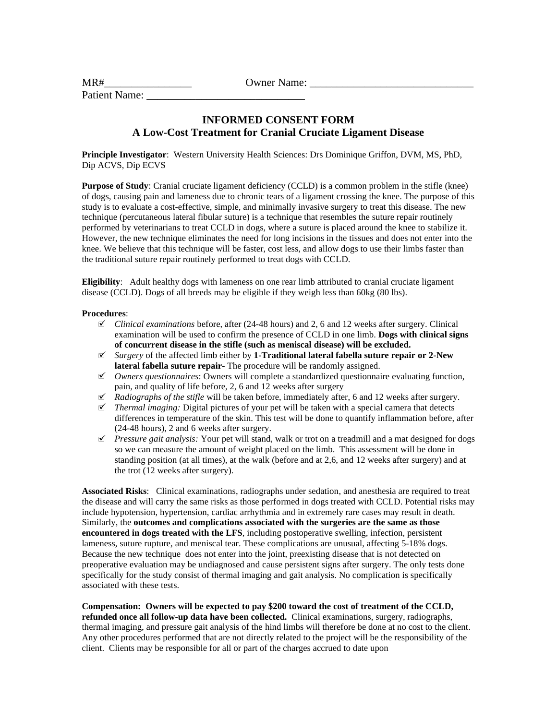| MR#                  | <b>Owner Name:</b> |  |
|----------------------|--------------------|--|
| <b>Patient Name:</b> |                    |  |

## **INFORMED CONSENT FORM A Low-Cost Treatment for Cranial Cruciate Ligament Disease**

**Principle Investigator**: Western University Health Sciences: Drs Dominique Griffon, DVM, MS, PhD, Dip ACVS, Dip ECVS

**Purpose of Study**: Cranial cruciate ligament deficiency (CCLD) is a common problem in the stifle (knee) of dogs, causing pain and lameness due to chronic tears of a ligament crossing the knee. The purpose of this study is to evaluate a cost-effective, simple, and minimally invasive surgery to treat this disease. The new technique (percutaneous lateral fibular suture) is a technique that resembles the suture repair routinely performed by veterinarians to treat CCLD in dogs, where a suture is placed around the knee to stabilize it. However, the new technique eliminates the need for long incisions in the tissues and does not enter into the knee. We believe that this technique will be faster, cost less, and allow dogs to use their limbs faster than the traditional suture repair routinely performed to treat dogs with CCLD.

**Eligibility**: Adult healthy dogs with lameness on one rear limb attributed to cranial cruciate ligament disease (CCLD). Dogs of all breeds may be eligible if they weigh less than 60kg (80 lbs).

## **Procedures**:

- *Clinical examinations* before, after (24-48 hours) and 2, 6 and 12 weeks after surgery. Clinical examination will be used to confirm the presence of CCLD in one limb. **Dogs with clinical signs of concurrent disease in the stifle (such as meniscal disease) will be excluded.**
- *Surgery* of the affected limb either by **1-Traditional lateral fabella suture repair or 2-New lateral fabella suture repair-** The procedure will be randomly assigned.
- *Owners questionnaires*: Owners will complete a standardized questionnaire evaluating function, pain, and quality of life before, 2, 6 and 12 weeks after surgery
- *Radiographs of the stifle* will be taken before, immediately after, 6 and 12 weeks after surgery.
- *Thermal imaging:* Digital pictures of your pet will be taken with a special camera that detects differences in temperature of the skin. This test will be done to quantify inflammation before, after (24-48 hours), 2 and 6 weeks after surgery.
- $\mathcal I$  *Pressure gait analysis:* Your pet will stand, walk or trot on a treadmill and a mat designed for dogs so we can measure the amount of weight placed on the limb. This assessment will be done in standing position (at all times), at the walk (before and at 2,6, and 12 weeks after surgery) and at the trot (12 weeks after surgery).

**Associated Risks**: Clinical examinations, radiographs under sedation, and anesthesia are required to treat the disease and will carry the same risks as those performed in dogs treated with CCLD. Potential risks may include hypotension, hypertension, cardiac arrhythmia and in extremely rare cases may result in death. Similarly, the **outcomes and complications associated with the surgeries are the same as those encountered in dogs treated with the LFS**, including postoperative swelling, infection, persistent lameness, suture rupture, and meniscal tear. These complications are unusual, affecting 5-18% dogs. Because the new technique does not enter into the joint, preexisting disease that is not detected on preoperative evaluation may be undiagnosed and cause persistent signs after surgery. The only tests done specifically for the study consist of thermal imaging and gait analysis. No complication is specifically associated with these tests.

## **Compensation: Owners will be expected to pay \$200 toward the cost of treatment of the CCLD, refunded once all follow-up data have been collected.** Clinical examinations, surgery, radiographs, thermal imaging, and pressure gait analysis of the hind limbs will therefore be done at no cost to the client. Any other procedures performed that are not directly related to the project will be the responsibility of the client. Clients may be responsible for all or part of the charges accrued to date upon